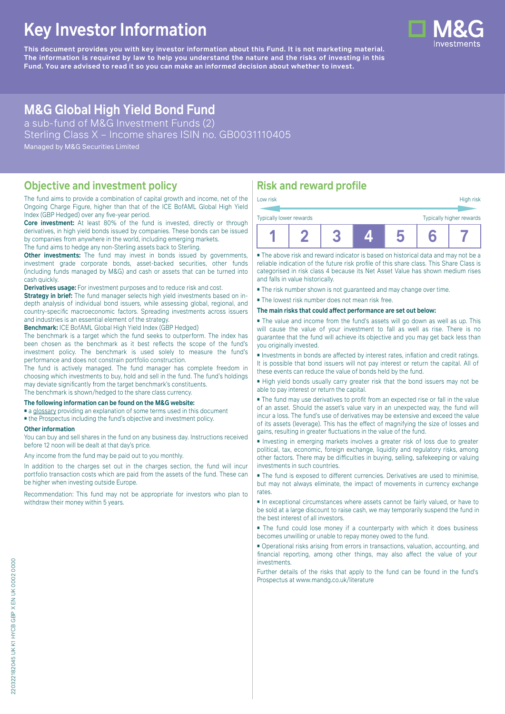# **Key Investor Information**

**This document provides you with key investor information about this Fund. It is not marketing material.** The information is required by law to help you understand the nature and the risks of investing in this **Fund. You are advised to read it so you can make an informed decision about whether to invest.**

# **M&G Global High Yield Bond Fund**

a sub-fund of M&G Investment Funds (2) Sterling Class X – Income shares ISIN no. GB0031110405 Managed by M&G Securities Limited

### **Objective and investment policy**

The fund aims to provide a combination of capital growth and income, net of the Ongoing Charge Figure, higher than that of the ICE BofAML Global High Yield Index (GBP Hedged) over any five-year period.

**Core investment:** At least 80% of the fund is invested, directly or through derivatives, in high yield bonds issued by companies. These bonds can be issued by companies from anywhere in the world, including emerging markets.

The fund aims to hedge any non-Sterling assets back to Sterling.

**Other investments:** The fund may invest in bonds issued by governments, investment grade corporate bonds, asset-backed securities, other funds (including funds managed by M&G) and cash or assets that can be turned into cash quickly.

**Derivatives usage:** For investment purposes and to reduce risk and cost.

**Strategy in brief:** The fund manager selects high yield investments based on indepth analysis of individual bond issuers, while assessing global, regional, and country-specific macroeconomic factors. Spreading investments across issuers and industries is an essential element of the strategy.

**Benchmark:** ICE BofAML Global High Yield Index (GBP Hedged)

The benchmark is a target which the fund seeks to outperform. The index has been chosen as the benchmark as it best reflects the scope of the fund's investment policy. The benchmark is used solely to measure the fund's performance and does not constrain portfolio construction.

The fund is actively managed. The fund manager has complete freedom in choosing which investments to buy, hold and sell in the fund. The fund's holdings may deviate significantly from the target benchmark's constituents.

The benchmark is shown/hedged to the share class currency.

#### **The following information can be found on the M&G website:**

■ [a glossary](https://docs.mandg.com/docs/glossary-master-en.pdf) providing an explanation of some terms used in this document

■ the Prospectus including the fund's objective and investment policy.

#### **Other information**

You can buy and sell shares in the fund on any business day. Instructions received before 12 noon will be dealt at that day's price.

Any income from the fund may be paid out to you monthly.

In addition to the charges set out in the charges section, the fund will incur portfolio transaction costs which are paid from the assets of the fund. These can be higher when investing outside Europe.

Recommendation: This fund may not be appropriate for investors who plan to withdraw their money within 5 years.

# **Risk and reward profile**

| Typically lower rewards |  |  | Typically higher rewards |
|-------------------------|--|--|--------------------------|
|                         |  |  |                          |

■ The above risk and reward indicator is based on historical data and may not be a reliable indication of the future risk profile of this share class. This Share Class is categorised in risk class 4 because its Net Asset Value has shown medium rises and falls in value historically.

■ The risk number shown is not guaranteed and may change over time.

■ The lowest risk number does not mean risk free.

#### **The main risks that could affect performance are set out below:**

■ The value and income from the fund's assets will go down as well as up. This will cause the value of your investment to fall as well as rise. There is no guarantee that the fund will achieve its objective and you may get back less than you originally invested.

■ Investments in bonds are affected by interest rates, inflation and credit ratings. It is possible that bond issuers will not pay interest or return the capital. All of these events can reduce the value of bonds held by the fund.

■ High yield bonds usually carry greater risk that the bond issuers may not be able to pay interest or return the capital.

■ The fund may use derivatives to profit from an expected rise or fall in the value of an asset. Should the asset's value vary in an unexpected way, the fund will incur a loss. The fund's use of derivatives may be extensive and exceed the value of its assets (leverage). This has the effect of magnifying the size of losses and gains, resulting in greater fluctuations in the value of the fund.

■ Investing in emerging markets involves a greater risk of loss due to greater political, tax, economic, foreign exchange, liquidity and regulatory risks, among other factors. There may be difficulties in buying, selling, safekeeping or valuing investments in such countries.

■ The fund is exposed to different currencies. Derivatives are used to minimise, but may not always eliminate, the impact of movements in currency exchange rates.

■ In exceptional circumstances where assets cannot be fairly valued, or have to be sold at a large discount to raise cash, we may temporarily suspend the fund in the best interest of all investors.

■ The fund could lose money if a counterparty with which it does business becomes unwilling or unable to repay money owed to the fund.

■ Operational risks arising from errors in transactions, valuation, accounting, and financial reporting, among other things, may also affect the value of your investments.

Further details of the risks that apply to the fund can be found in the fund's Prospectus at [www.mandg.co.uk/literature](http://www.mandg.co.uk/literature)